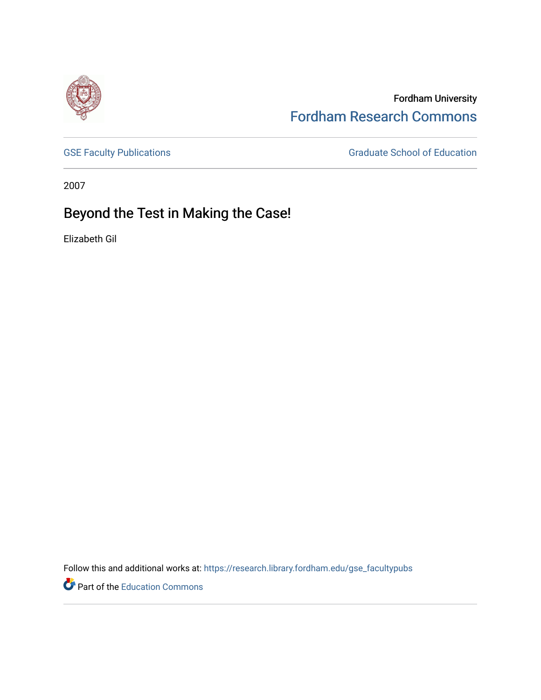

Fordham University [Fordham Research Commons](https://research.library.fordham.edu/) 

[GSE Faculty Publications](https://research.library.fordham.edu/gse_facultypubs) **GRADUATE SCHOOL SECTION** Graduate School of Education

2007

## Beyond the Test in Making the Case!

Elizabeth Gil

Follow this and additional works at: [https://research.library.fordham.edu/gse\\_facultypubs](https://research.library.fordham.edu/gse_facultypubs?utm_source=research.library.fordham.edu%2Fgse_facultypubs%2F4&utm_medium=PDF&utm_campaign=PDFCoverPages)

**P** Part of the [Education Commons](http://network.bepress.com/hgg/discipline/784?utm_source=research.library.fordham.edu%2Fgse_facultypubs%2F4&utm_medium=PDF&utm_campaign=PDFCoverPages)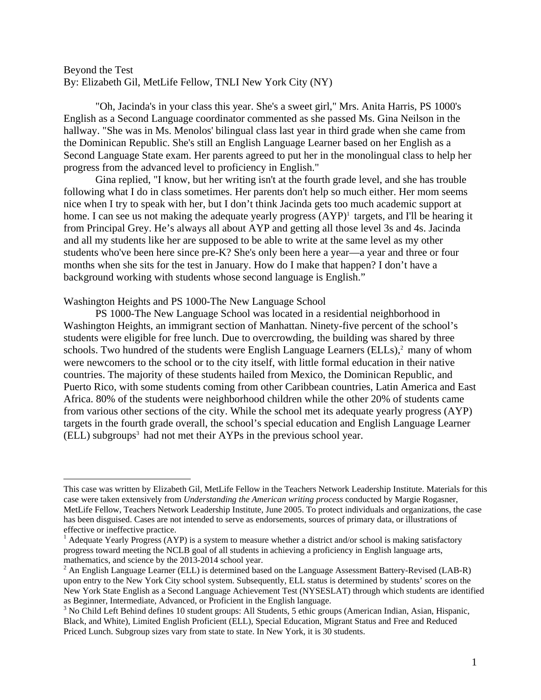## Beyond the Test By: Elizabeth Gil, MetLife Fellow, TNLI New York City (NY)

"Oh, Jacinda's in your class this year. She's a sweet girl," Mrs. Anita Harris, PS 1000's English as a Second Language coordinator commented as she passed Ms. Gina Neilson in the hallway. "She was in Ms. Menolos' bilingual class last year in third grade when she came from the Dominican Republic. She's still an English Language Learner based on her English as a Second Language State exam. Her parents agreed to put her in the monolingual class to help her progress from the advanced level to proficiency in English."

Gina replied, "I know, but her writing isn't at the fourth grade level, and she has trouble following what I do in class sometimes. Her parents don't help so much either. Her mom seems nice when I try to speak with her, but I don't think Jacinda gets too much academic support at home. I can see us not making the adequate yearly progress  $(AYP)^1$  targets, and I'll be hearing it from Principal Grey. He's always all about AYP and getting all those level 3s and 4s. Jacinda and all my students like her are supposed to be able to write at the same level as my other students who've been here since pre-K? She's only been here a year—a year and three or four months when she sits for the test in January. How do I make that happen? I don't have a background working with students whose second language is English."

## Washington Heights and PS 1000-The New Language School

PS 1000-The New Language School was located in a residential neighborhood in Washington Heights, an immigrant section of Manhattan. Ninety-five percent of the school's students were eligible for free lunch. Due to overcrowding, the building was shared by three schools. Two hundred of the students were English Language Learners  $(ELLs)$ ,<sup>2</sup> many of whom were newcomers to the school or to the city itself, with little formal education in their native countries. The majority of these students hailed from Mexico, the Dominican Republic, and Puerto Rico, with some students coming from other Caribbean countries, Latin America and East Africa. 80% of the students were neighborhood children while the other 20% of students came from various other sections of the city. While the school met its adequate yearly progress (AYP) targets in the fourth grade overall, the school's special education and English Language Learner (ELL) subgroups<sup>3</sup> had not met their AYPs in the previous school year.

<span id="page-1-0"></span>This case was written by Elizabeth Gil, MetLife Fellow in the Teachers Network Leadership Institute. Materials for this case were taken extensively from *Understanding the American writing process* conducted by Margie Rogasner, MetLife Fellow, Teachers Network Leadership Institute, June 2005. To protect individuals and organizations, the case has been disguised. Cases are not intended to serve as endorsements, sources of primary data, or illustrations of effective or ineffective practice.

<span id="page-1-1"></span> $<sup>1</sup>$  Adequate Yearly Progress (AYP) is a system to measure whether a district and/or school is making satisfactory</sup> progress toward meeting the NCLB goal of all students in achieving a proficiency in English language arts, mathematics, and science by the 2013-2014 school year.

<span id="page-1-2"></span> $2^2$  An English Language Learner (ELL) is determined based on the Language Assessment Battery-Revised (LAB-R) upon entry to the New York City school system. Subsequently, ELL status is determined by students' scores on the New York State English as a Second Language Achievement Test (NYSESLAT) through which students are identified as Beginner, Intermediate, Advanced, or Proficient in the English language.

<span id="page-1-3"></span><sup>&</sup>lt;sup>3</sup> No Child Left Behind defines 10 student groups: All Students, 5 ethic groups (American Indian, Asian, Hispanic, Black, and White), Limited English Proficient (ELL), Special Education, Migrant Status and Free and Reduced Priced Lunch. Subgroup sizes vary from state to state. In New York, it is 30 students.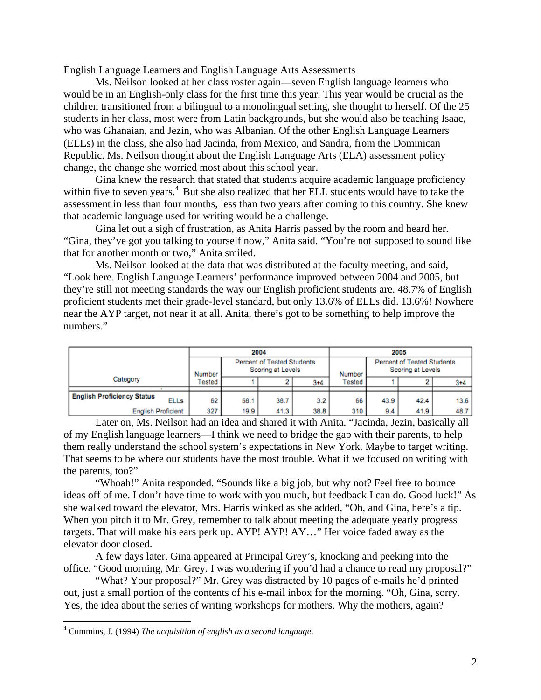English Language Learners and English Language Arts Assessments

Ms. Neilson looked at her class roster again—seven English language learners who would be in an English-only class for the first time this year. This year would be crucial as the children transitioned from a bilingual to a monolingual setting, she thought to herself. Of the 25 students in her class, most were from Latin backgrounds, but she would also be teaching Isaac, who was Ghanaian, and Jezin, who was Albanian. Of the other English Language Learners (ELLs) in the class, she also had Jacinda, from Mexico, and Sandra, from the Dominican Republic. Ms. Neilson thought about the English Language Arts (ELA) assessment policy change, the change she worried most about this school year.

 Gina knew the research that stated that students acquire academic language proficiency within five to seven years.<sup>4</sup> But she also realized that her ELL students would have to take the assessment in less than four months, less than two years after coming to this country. She knew that academic language used for writing would be a challenge.

Gina let out a sigh of frustration, as Anita Harris passed by the room and heard her. "Gina, they've got you talking to yourself now," Anita said. "You're not supposed to sound like that for another month or two," Anita smiled.

Ms. Neilson looked at the data that was distributed at the faculty meeting, and said, "Look here. English Language Learners' performance improved between 2004 and 2005, but they're still not meeting standards the way our English proficient students are. 48.7% of English proficient students met their grade-level standard, but only 13.6% of ELLs did. 13.6%! Nowhere near the AYP target, not near it at all. Anita, there's got to be something to help improve the numbers."

|                                                  | 2004   |                                                 |      |         | 2005   |                                                        |      |         |
|--------------------------------------------------|--------|-------------------------------------------------|------|---------|--------|--------------------------------------------------------|------|---------|
|                                                  | Number | Percent of Tested Students<br>Scoring at Levels |      |         | Number | <b>Percent of Tested Students</b><br>Scoring at Levels |      |         |
| Category                                         | Γested |                                                 |      | $3 + 4$ | Tested |                                                        |      | $3 + 4$ |
|                                                  |        |                                                 |      |         |        |                                                        |      |         |
| <b>English Proficiency Status</b><br><b>ELLs</b> | 62     | 58.1                                            | 38.7 | 3.2     | 66     | 43.9                                                   | 42.4 | 13.6    |
| <b>English Proficient</b>                        | 327    | 19.9                                            | 41.3 | 38.8    | 310    | 9.4                                                    | 41.9 | 48.7    |

 Later on, Ms. Neilson had an idea and shared it with Anita. "Jacinda, Jezin, basically all of my English language learners—I think we need to bridge the gap with their parents, to help them really understand the school system's expectations in New York. Maybe to target writing. That seems to be where our students have the most trouble. What if we focused on writing with the parents, too?"

 "Whoah!" Anita responded. "Sounds like a big job, but why not? Feel free to bounce ideas off of me. I don't have time to work with you much, but feedback I can do. Good luck!" As she walked toward the elevator, Mrs. Harris winked as she added, "Oh, and Gina, here's a tip. When you pitch it to Mr. Grey, remember to talk about meeting the adequate yearly progress targets. That will make his ears perk up. AYP! AYP! AY…" Her voice faded away as the elevator door closed.

A few days later, Gina appeared at Principal Grey's, knocking and peeking into the office. "Good morning, Mr. Grey. I was wondering if you'd had a chance to read my proposal?"

 "What? Your proposal?" Mr. Grey was distracted by 10 pages of e-mails he'd printed out, just a small portion of the contents of his e-mail inbox for the morning. "Oh, Gina, sorry. Yes, the idea about the series of writing workshops for mothers. Why the mothers, again?

<u>.</u>

<span id="page-2-0"></span><sup>4</sup> Cummins, J. (1994) *The acquisition of english as a second language*.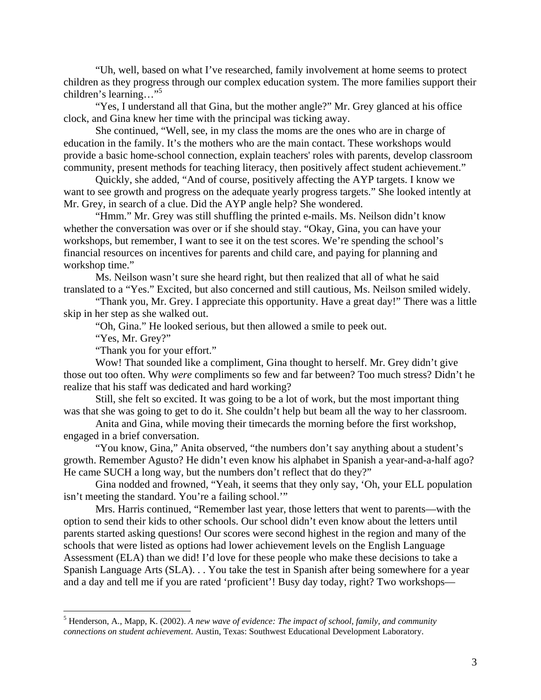"Uh, well, based on what I've researched, family involvement at home seems to protect children as they progress through our complex education system. The more families support their children's learning..."<sup>5</sup>

"Yes, I understand all that Gina, but the mother angle?" Mr. Grey glanced at his office clock, and Gina knew her time with the principal was ticking away.

 She continued, "Well, see, in my class the moms are the ones who are in charge of education in the family. It's the mothers who are the main contact. These workshops would provide a basic home-school connection, explain teachers' roles with parents, develop classroom community, present methods for teaching literacy, then positively affect student achievement."

Quickly, she added, "And of course, positively affecting the AYP targets. I know we want to see growth and progress on the adequate yearly progress targets." She looked intently at Mr. Grey, in search of a clue. Did the AYP angle help? She wondered.

 "Hmm." Mr. Grey was still shuffling the printed e-mails. Ms. Neilson didn't know whether the conversation was over or if she should stay. "Okay, Gina, you can have your workshops, but remember, I want to see it on the test scores. We're spending the school's financial resources on incentives for parents and child care, and paying for planning and workshop time."

Ms. Neilson wasn't sure she heard right, but then realized that all of what he said translated to a "Yes." Excited, but also concerned and still cautious, Ms. Neilson smiled widely.

 "Thank you, Mr. Grey. I appreciate this opportunity. Have a great day!" There was a little skip in her step as she walked out.

"Oh, Gina." He looked serious, but then allowed a smile to peek out.

"Yes, Mr. Grey?"

 $\overline{a}$ 

"Thank you for your effort."

Wow! That sounded like a compliment, Gina thought to herself. Mr. Grey didn't give those out too often. Why *were* compliments so few and far between? Too much stress? Didn't he realize that his staff was dedicated and hard working?

Still, she felt so excited. It was going to be a lot of work, but the most important thing was that she was going to get to do it. She couldn't help but beam all the way to her classroom.

 Anita and Gina, while moving their timecards the morning before the first workshop, engaged in a brief conversation.

 "You know, Gina," Anita observed, "the numbers don't say anything about a student's growth. Remember Agusto? He didn't even know his alphabet in Spanish a year-and-a-half ago? He came SUCH a long way, but the numbers don't reflect that do they?"

Gina nodded and frowned, "Yeah, it seems that they only say, 'Oh, your ELL population isn't meeting the standard. You're a failing school.'"

Mrs. Harris continued, "Remember last year, those letters that went to parents—with the option to send their kids to other schools. Our school didn't even know about the letters until parents started asking questions! Our scores were second highest in the region and many of the schools that were listed as options had lower achievement levels on the English Language Assessment (ELA) than we did! I'd love for these people who make these decisions to take a Spanish Language Arts (SLA). . . You take the test in Spanish after being somewhere for a year and a day and tell me if you are rated 'proficient'! Busy day today, right? Two workshops—

<span id="page-3-0"></span><sup>5</sup> Henderson, A., Mapp, K. (2002). *A new wave of evidence: The impact of school, family, and community connections on student achievement*. Austin, Texas: Southwest Educational Development Laboratory.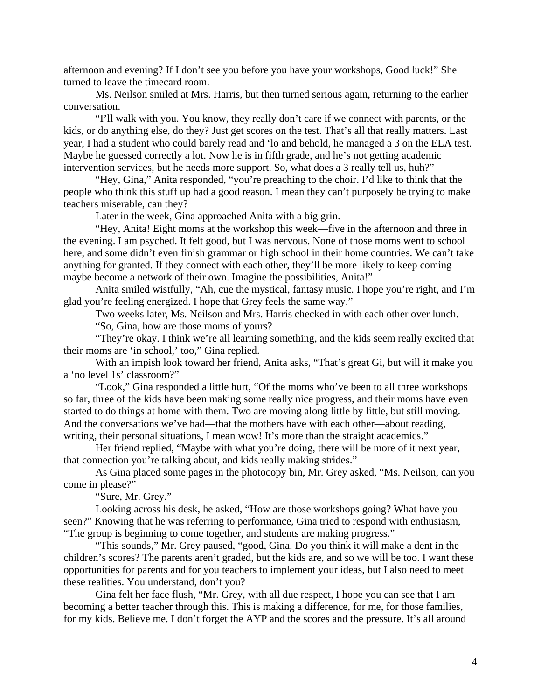afternoon and evening? If I don't see you before you have your workshops, Good luck!" She turned to leave the timecard room.

Ms. Neilson smiled at Mrs. Harris, but then turned serious again, returning to the earlier conversation.

 "I'll walk with you. You know, they really don't care if we connect with parents, or the kids, or do anything else, do they? Just get scores on the test. That's all that really matters. Last year, I had a student who could barely read and 'lo and behold, he managed a 3 on the ELA test. Maybe he guessed correctly a lot. Now he is in fifth grade, and he's not getting academic intervention services, but he needs more support. So, what does a 3 really tell us, huh?"

 "Hey, Gina," Anita responded, "you're preaching to the choir. I'd like to think that the people who think this stuff up had a good reason. I mean they can't purposely be trying to make teachers miserable, can they?

Later in the week, Gina approached Anita with a big grin.

"Hey, Anita! Eight moms at the workshop this week—five in the afternoon and three in the evening. I am psyched. It felt good, but I was nervous. None of those moms went to school here, and some didn't even finish grammar or high school in their home countries. We can't take anything for granted. If they connect with each other, they'll be more likely to keep coming maybe become a network of their own. Imagine the possibilities, Anita!"

 Anita smiled wistfully, "Ah, cue the mystical, fantasy music. I hope you're right, and I'm glad you're feeling energized. I hope that Grey feels the same way."

Two weeks later, Ms. Neilson and Mrs. Harris checked in with each other over lunch.

"So, Gina, how are those moms of yours?

 "They're okay. I think we're all learning something, and the kids seem really excited that their moms are 'in school,' too," Gina replied.

With an impish look toward her friend, Anita asks, "That's great Gi, but will it make you a 'no level 1s' classroom?"

 "Look," Gina responded a little hurt, "Of the moms who've been to all three workshops so far, three of the kids have been making some really nice progress, and their moms have even started to do things at home with them. Two are moving along little by little, but still moving. And the conversations we've had—that the mothers have with each other—about reading, writing, their personal situations, I mean wow! It's more than the straight academics."

 Her friend replied, "Maybe with what you're doing, there will be more of it next year, that connection you're talking about, and kids really making strides."

As Gina placed some pages in the photocopy bin, Mr. Grey asked, "Ms. Neilson, can you come in please?"

"Sure, Mr. Grey."

 Looking across his desk, he asked, "How are those workshops going? What have you seen?" Knowing that he was referring to performance, Gina tried to respond with enthusiasm, "The group is beginning to come together, and students are making progress."

 "This sounds," Mr. Grey paused, "good, Gina. Do you think it will make a dent in the children's scores? The parents aren't graded, but the kids are, and so we will be too. I want these opportunities for parents and for you teachers to implement your ideas, but I also need to meet these realities. You understand, don't you?

 Gina felt her face flush, "Mr. Grey, with all due respect, I hope you can see that I am becoming a better teacher through this. This is making a difference, for me, for those families, for my kids. Believe me. I don't forget the AYP and the scores and the pressure. It's all around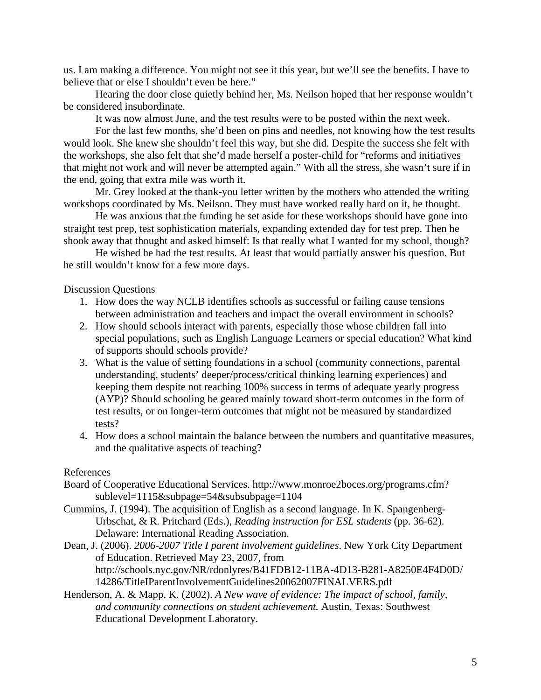us. I am making a difference. You might not see it this year, but we'll see the benefits. I have to believe that or else I shouldn't even be here."

Hearing the door close quietly behind her, Ms. Neilson hoped that her response wouldn't be considered insubordinate.

It was now almost June, and the test results were to be posted within the next week.

For the last few months, she'd been on pins and needles, not knowing how the test results would look. She knew she shouldn't feel this way, but she did. Despite the success she felt with the workshops, she also felt that she'd made herself a poster-child for "reforms and initiatives that might not work and will never be attempted again." With all the stress, she wasn't sure if in the end, going that extra mile was worth it.

Mr. Grey looked at the thank-you letter written by the mothers who attended the writing workshops coordinated by Ms. Neilson. They must have worked really hard on it, he thought.

 He was anxious that the funding he set aside for these workshops should have gone into straight test prep, test sophistication materials, expanding extended day for test prep. Then he shook away that thought and asked himself: Is that really what I wanted for my school, though?

He wished he had the test results. At least that would partially answer his question. But he still wouldn't know for a few more days.

Discussion Questions

- 1. How does the way NCLB identifies schools as successful or failing cause tensions between administration and teachers and impact the overall environment in schools?
- 2. How should schools interact with parents, especially those whose children fall into special populations, such as English Language Learners or special education? What kind of supports should schools provide?
- 3. What is the value of setting foundations in a school (community connections, parental understanding, students' deeper/process/critical thinking learning experiences) and keeping them despite not reaching 100% success in terms of adequate yearly progress (AYP)? Should schooling be geared mainly toward short-term outcomes in the form of test results, or on longer-term outcomes that might not be measured by standardized tests?
- 4. How does a school maintain the balance between the numbers and quantitative measures, and the qualitative aspects of teaching?

## References

- Board of Cooperative Educational Services. http://www.monroe2boces.org/programs.cfm? sublevel=1115&subpage=54&subsubpage=1104
- Cummins, J. (1994). The acquisition of English as a second language. In K. Spangenberg- Urbschat, & R. Pritchard (Eds.), *Reading instruction for ESL students* (pp. 36-62). Delaware: International Reading Association.
- Dean, J. (2006). *2006-2007 Title I parent involvement guidelines*. New York City Department of Education. Retrieved May 23, 2007, from http://schools.nyc.gov/NR/rdonlyres/B41FDB12-11BA-4D13-B281-A8250E4F4D0D/ 14286/TitleIParentInvolvementGuidelines20062007FINALVERS.pdf
- Henderson, A. & Mapp, K. (2002). *A New wave of evidence: The impact of school, family, and community connections on student achievement.* Austin, Texas: Southwest Educational Development Laboratory.